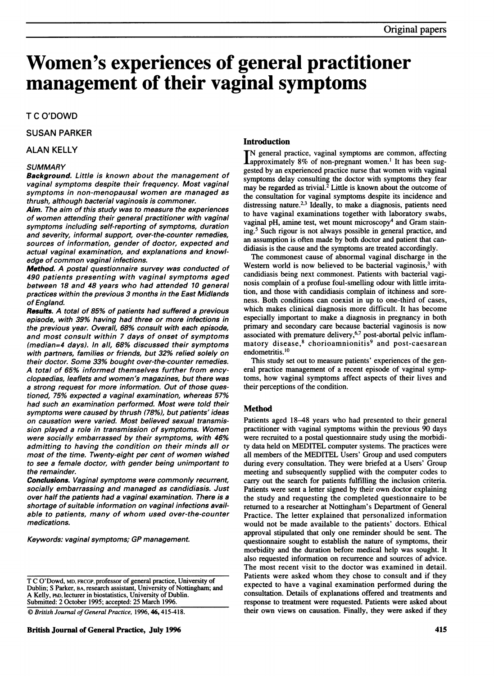# Women's experiences of general practitioner management of their vaginal symptoms

# T C O'DOWD

## SUSAN PARKER

## ALAN KELLY

# **SUMMARY**

Background. Little is known about the management of vaginal symptoms despite their frequency. Most vaginal symptoms in non-menopausal women are managed as thrush, although bacterial vaginosis is commoner.

Aim. The aim of this study was to measure the experiences of women attending their general practitioner with vaginal symptoms including self-reporting of symptoms, duration and severity, informal support, over-the-counter remedies, sources of information, gender of doctor, expected and actual vaginal examination, and explanations and knowledge of common vaginal infections.

Method. A postal questionnaire survey was conducted of 490 patients presenting with vaginal symptoms aged between 18 and 48 years who had attended 10 general practices within the previous 3 months in the East Midlands of England.

Results. A total of 85% of patients had suffered <sup>a</sup> previous episode, with 39% having had three or more infections in the previous year. Overall, 68% consult with each episode, and most consult within 7 days of onset of symptoms (median=4 days). In all, 68% discussed their symptoms with partners, families or friends, but 32% relied solely on their doctor. Some 33% bought over-the-counter remedies. A total of 65% informed themselves further from encyclopaedias, leaflets and women's magazines, but there was a strong request for more information. Out of those questioned, 75% expected a vaginal examination, whereas 57% had such an examination performed. Most were told their symptoms were caused by thrush (78%), but patients' ideas on causation were varied. Most believed sexual transmission played <sup>a</sup> role in transmission of symptoms. Women were socially embarrassed by their symptoms, with 46% admitting to having the condition on their minds all or most of the time. Twenty-eight per cent of women wished to see a female doctor, with gender being unimportant to the remainder.

Conclusions. Vaginal symptoms were commonly recurrent, socially embarrassing and managed as candidiasis. Just over half the patients had a vaginal examination. There is a shortage of suitable information on vaginal infections available to patients, many of whom used over-the-counter medications.

Keywords: vaginal symptoms; GP management.

 $\overline{\textcircled{\textit{British Journal of General Practice}, 1996, 46, 415-418.}}$ 

#### Introduction

IN general practice, vaginal symptoms are common, affecting **Lapproximately 8% of non-pregnant women.**<sup>1</sup> It has been suggested by an experienced practice nurse that women with vaginal symptoms delay consulting the doctor with symptoms they fear may be regarded as trivial. $2$  Little is known about the outcome of the consultation for vaginal symptoms despite its incidence and distressing nature.<sup>2,3</sup> Ideally, to make a diagnosis, patients need to have vaginal examinations together with laboratory swabs, vaginal pH, amine test, wet mount microscopy<sup>4</sup> and Gram staining.5 Such rigour is not always possible in general practice, and an assumption is often made by both doctor and patient that candidiasis is the cause and the symptoms are treated accordingly.

The commonest cause of abnormal vaginal discharge in the Western world is now believed to be bacterial vaginosis, $3$  with candidiasis being next commonest. Patients with bacterial vaginosis complain of a profuse foul-smelling odour with little irritation, and those with candidiasis complain of itchiness and soreness. Both conditions can coexist in up to one-third of cases, which makes clinical diagnosis more difficult. It has become especially important to make a diagnosis in pregnancy in both primary and secondary care because bacterial vaginosis is now associated with premature delivery,<sup>6,7</sup> post-abortal pelvic inflammatory disease,<sup>8</sup> chorioamnionitis<sup>9</sup> and post-caesarean endometritis.<sup>10</sup>

This study set out to measure patients' experiences of the general practice management of a recent episode of vaginal symptoms, how vaginal symptoms affect aspects of their lives and their perceptions of the condition.

#### Method

Patients aged 18-48 years who had presented to their general practitioner with vaginal symptoms within the previous 90 days were recruited to a postal questionnaire study using the morbidity data held on MEDITEL computer systems. The practices were all members of the MEDITEL Users' Group and used computers during every consultation. They were briefed at a Users' Group meeting and subsequently supplied with the computer codes to carry out the search for patients fulfilling the inclusion criteria. Patients were sent a letter signed by their own doctor explaining the study and requesting the completed questionnaire to be returned to a researcher at Nottingham's Department of General Practice. The letter explained that personalized information would not be made available to the patients' doctors. Ethical approval stipulated that only one reminder should be sent. The questionnaire sought to establish the nature of symptoms, their morbidity and the duration before medical help was sought. It also requested information on recurrence and sources of advice. The most recent visit to the doctor was examined in detail. Patients were asked whom they chose to consult and if they expected to have a vaginal examination performed during the consultation. Details of explanations offered and treatments and response to treatment were requested. Patients were asked about their own views on causation. Finally, they were asked if they

T C O'Dowd, MD, FRCGP, professor of general practice, University of Dublin; S Parker, BA, research assistant, University of Nottingham; and A Kelly, PhD, lecturer in biostatistics, University of Dublin. Submitted: 2 October 1995; accepted: 25 March 1996.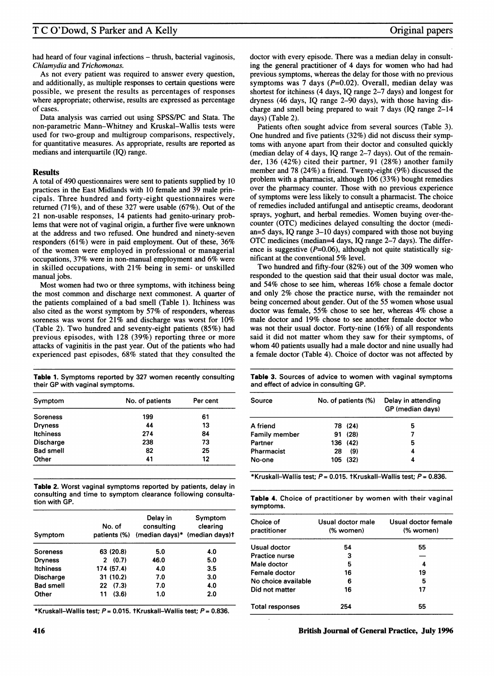had heard of four vaginal infections – thrush, bacterial vaginosis, Chlamydia and Trichomonas.

As not every patient was required to answer every question, and additionally, as multiple responses to certain questions were possible, we present the results as percentages of responses where appropriate; otherwise, results are expressed as percentage of cases.

Data analysis was carried out using SPSS/PC and Stata. The non-parametric Mann-Whitney and Kruskal-Wallis tests were used for two-group and multigroup comparisons, respectively, for quantitative measures. As appropriate, results are reported as medians and interquartile (IQ) range.

## **Results**

A total of 490 questionnaires were sent to patients supplied by <sup>10</sup> practices in the East Midlands with 10 female and 39 male principals. Three hundred and forty-eight questionnaires were returned (71%), and of these 327 were usable (67%). Out of the 21 non-usable responses, 14 patients had genito-urinary problems that were not of vaginal origin, a further five were unknown at the address and two refused. One hundred and ninety-seven responders (61%) were in paid employment. Out of these, 36% of the women were employed in professional or managerial occupations, 37% were in non-manual employment and 6% were in skilled occupations, with 21% being in semi- or unskilled manual jobs.

Most women had two or three symptoms, with itchiness being the most common and discharge next commonest. A quarter of the patients complained of a bad smell (Table 1). Itchiness was also cited as the worst symptom by 57% of responders, whereas soreness was worst for 21% and discharge was worst for 10% (Table 2). Two hundred and seventy-eight patients (85%) had previous episodes, with 128 (39%) reporting three or more attacks of vaginitis in the past year. Out of the patients who had experienced past episodes, 68% stated that they consulted the

Table 1. Symptoms reported by 327 women recently consulting their GP with vaginal symptoms.

| Symptom          | No. of patients | Per cent |  |
|------------------|-----------------|----------|--|
| Soreness         | 199             | 61       |  |
| <b>Dryness</b>   | 44              | 13       |  |
| <b>Itchiness</b> | 274             | 84       |  |
| <b>Discharge</b> | 238             | 73       |  |
| <b>Bad smell</b> | 82              | 25       |  |
| Other            | 41              | 12       |  |

Table 2. Worst vaginal symptoms reported by patients, delay in consulting and time to symptom clearance following consultation with GP.

| Symptom          | No. of      | Delay in<br>consulting<br>patients (%) (median days)* (median days)t | Symptom<br>clearing |
|------------------|-------------|----------------------------------------------------------------------|---------------------|
| <b>Soreness</b>  | 63 (20.8)   | 5.0                                                                  | 4.0                 |
| <b>Dryness</b>   | (0.7)<br>2  | 46.0                                                                 | 5.0                 |
| <b>Itchiness</b> | 174 (57.4)  | 4.0                                                                  | 3.5                 |
| Discharge        | 31(10.2)    | 7.0                                                                  | 3.0                 |
| <b>Bad smell</b> | 22(7.3)     | 7.0                                                                  | 4.0                 |
| Other            | (3.6)<br>11 | 1.0                                                                  | 2.0                 |

\*Kruskall-Wallis test;  $P = 0.015$ . tKruskall-Wallis test;  $P = 0.836$ .

doctor with every episode. There was a median delay in consulting the general practitioner of 4 days for women who had had previous symptoms, whereas the delay for those with no previous symptoms was 7 days  $(P=0.02)$ . Overall, median delay was shortest for itchiness (4 days, IQ range 2-7 days) and longest for dryness (46 days, IQ range 2-90 days), with those having discharge and smell being prepared to wait  $7$  days (IQ range  $2-14$ days) (Table 2).

Patients often sought advice from several sources (Table 3). One hundred and five patients (32%) did not discuss their symptoms with anyone apart from their doctor and consulted quickly (median delay of 4 days, IQ range 2-7 days). Out of the remainder, 136 (42%) cited their partner, 91 (28%) another family member and 78 (24%) a friend. Twenty-eight (9%) discussed the problem with a pharmacist, although 106 (33%) bought remedies over the pharmacy counter. Those with no previous experience of symptoms were less likely to consult a pharmacist. The choice of remedies included antifungal and antiseptic creams, deodorant sprays, yoghurt, and herbal remedies. Women buying over-thecounter (OTC) medicines delayed consulting the doctor (median=5 days, IQ range 3-10 days) compared with those not buying OTC medicines (median=4 days, IQ range 2-7 days). The difference is suggestive  $(P=0.06)$ , although not quite statistically significant at the conventional 5% level.

Two hundred and fifty-four (82%) out of the 309 women who responded to the question said that their usual doctor was male, and 54% chose to see him, whereas 16% chose a female doctor and only 2% chose the practice nurse, with the remainder not being concerned about gender. Out of the 55 women whose usual doctor was female, 55% chose to see her, whereas 4% chose <sup>a</sup> male doctor and 19% chose to see another female doctor who was not their usual doctor. Forty-nine (16%) of all respondents said it did not matter whom they saw for their symptoms, of whom 40 patients usually had <sup>a</sup> male doctor and nine usually had a female doctor (Table 4). Choice of doctor was not affected by

Table 3. Sources of advice to women with vaginal symptoms and effect of advice in consulting GP.

| Source               |     | No. of patients (%) | Delay in attending<br>GP (median days) |  |
|----------------------|-----|---------------------|----------------------------------------|--|
| A friend             |     | 78 (24)             | 5                                      |  |
| <b>Family member</b> |     | 91 (28)             | 7                                      |  |
| Partner              |     | 136 (42)            | 5                                      |  |
| Pharmacist           | 28  | (9)                 | 4                                      |  |
| No-one               | 105 | (32)                | 4                                      |  |

\*Kruskall-Wallis test;  $P = 0.015$ . tKruskall-Wallis test;  $P = 0.836$ .

|           |  | Table 4. Choice of practitioner by women with their vaginal |  |  |  |
|-----------|--|-------------------------------------------------------------|--|--|--|
| symptoms. |  |                                                             |  |  |  |

| Choice of<br>practitioner | Usual doctor male<br>(% women) | Usual doctor female<br>(% women) |  |  |
|---------------------------|--------------------------------|----------------------------------|--|--|
| Usual doctor              | 54                             | 55                               |  |  |
| <b>Practice nurse</b>     | 3                              |                                  |  |  |
| Male doctor               | 5                              | 4                                |  |  |
| Female doctor             | 16                             | 19                               |  |  |
| No choice available       | 6                              | 5                                |  |  |
| Did not matter            | 16                             | 17                               |  |  |
| <b>Total responses</b>    | 254                            | 55                               |  |  |
|                           |                                |                                  |  |  |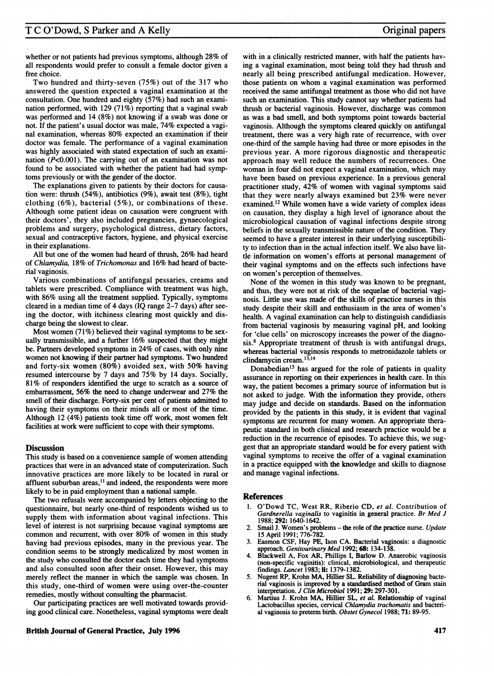whether or not patients had previous symptoms, although 28% of all respondents would prefer to consult a female doctor given a free choice.

Two hundred and thirty-seven (75%) out of the 317 who answered the question expected a vaginal examination at the consultation. One hundred and eighty (57%) had such an examination performed, with 129 (71%) reporting that a vaginal swab was performed and 14 (8%) not knowing if a swab was done or not. If the patient's usual doctor was male, 74% expected a vaginal examination, whereas 80% expected an examination if their doctor was female. The performance of a vaginal examination was highly associated with stated expectation of such an examination (P<0.001). The carrying out of an examination was not found to be associated with whether the patient had had symptoms previously or with the gender of the doctor.

The explanations given to patients by their doctors for causation were: thrush (54%), antibiotics (9%), await test (8%), tight clothing (6%), bacterial (5%), or combinations of these. Although some patient ideas on causation were congruent with their doctors', they also included pregnancies, gynaecological problems and surgery, psychological distress, dietary factors, sexual and contraceptive factors, hygiene, and physical exercise in their explanations.

All but one of the women had heard of thrush, 26% had heard of Chlamydia, 18% of Trichomonas and 16% had heard of bacterial vaginosis.

Various combinations of antifungal pessaries, creams and tablets were prescribed. Compliance with treatment was high, with 86% using all the treatment supplied. Typically, symptoms cleared in a median time of 4 days (IQ range 2-7 days) after seeing the doctor, with itchiness clearing most quickly and discharge being the slowest to clear.

Most women (71%) believed their vaginal symptoms to be sexually transmissible, and a further 16% suspected that they might be. Partners developed symptoms in 24% of cases, with only nine women not knowing if their partner had symptoms. Two hundred and forty-six women (80%) avoided sex, with 50% having resumed intercourse by 7 days and 75% by 14 days. Socially, 81% of responders identified the urge to scratch as a source of embarrassment, 56% the need to change underwear and 27% the smell of their discharge. Forty-six per cent of patients admitted to having their symptoms on their minds all or most of the time. Although 12 (4%) patients took time off work, most women felt facilities at work were sufficient to cope with their symptoms.

#### **Discussion**

This study is based on a convenience sample of women attending practices that were in an advanced state of computerization. Such innovative practices are more likely to be located in rural or affluent suburban areas,'1 and indeed, the respondents were more likely to be in paid employment than a national sample.

The two refusals were accompanied by letters objecting to the questionnaire, but nearly one-third of respondents wished us to supply them with information about vaginal infections. This level of interest is not surprising because vaginal symptoms are common and recurrent, with over 80% of women in this study having had previous episodes, many in the previous year. The condition seems to be strongly medicalized by most women in the study who consulted the doctor each time they had symptoms and also consulted soon after their onset. However, this may merely reflect the manner in which the sample was chosen. In this study, one-third of women were using over-the-counter remedies, mostly without consulting the pharmacist.

Our participating practices are well motivated towards providing good clinical care. Nonetheless, vaginal symptoms were dealt

with in a clinically restricted manner, with half the patients having a vaginal examination, most being told they had thrush and nearly all being prescribed antifungal medication. However, those patients on whom <sup>a</sup> vaginal examination was performed received the same antifungal treatment as those who did not have such an examination. This study cannot say whether patients had thrush or bacterial vaginosis. However, discharge was common as was a bad smell, and both symptoms point towards bacterial vaginosis. Although the symptoms cleared quickly on antifungal treatment, there was a very high rate of recurrence, with over one-third of the sample having had three or more episodes in the previous year. A more rigorous diagnostic and therapeutic approach may well reduce the numbers of recurrences. One woman in four did not expect a vaginal examination, which may have been based on previous experience. In a previous general practitioner study, 42% of women with vaginal symptoms said that they were nearly always examined but 23% were never examined.'2 While women have a wide variety of complex ideas on causation, they display a high level of ignorance about the microbiological causation of vaginal infections despite strong beliefs in the sexually transmissible nature of the condition. They seemed to have a greater interest in their underlying susceptibility to infection than in the actual infection itself. We also have little information on women's efforts at personal management of their vaginal symptoms and on the effects such infections have on women's perception of themselves.

None of the women in this study was known to be pregnant, and thus, they were not at risk of the sequelae of bacterial vaginosis. Little use was made of the skills of practice nurses in this study despite their skill and enthusiasm in the area of women's health. A vaginal examination can help to distinguish candidiasis from bacterial vaginosis by measuring vaginal pH, and looking for 'clue cells' on microscopy increases the power of the diagnosis.8 Appropriate treatment of thrush is with antifungal drugs, whereas bacterial vaginosis responds to metronidazole tablets or clindamycin cream.<sup>13,14</sup>

Donabedian'5 has argued for the role of patients in quality assurance in reporting on their experiences in health care. In this way, the patient becomes a primary source of information but is not asked to judge. With the information they provide, others may judge and decide on standards. Based on the information provided by the patients in this study, it is evident that vaginal symptoms are recurrent for many women. An appropriate therapeutic standard in both clinical and research practice would be a reduction in the recurrence of episodes. To achieve this, we suggest that an appropriate standard would be for every patient with vaginal symptoms to receive the offer of a vaginal examination in a practice equipped with the knowledge and skills to diagnose and manage vaginal infections.

#### References

- 1. O'Dowd TC, West RR, Riberio CD, et al. Contribution of Gardnerella vaginalis to vaginitis in general practice. Br Med J 1988; 292: 1640-1642.
- Smail J. Women's problems the role of the practice nurse. Update 15 April 1991; 776-782.
- 3. Easmon CSF, Hay PE, Ison CA. Bacterial vaginosis: a diagnostic approach. Genitourinary Med 1992; 68: 134-138.
- 4. Blackwell A, Fox AR, Phillips I, Barlow D. Anaerobic vaginosis (non-specific vaginitis): clinical, microbiological, and therapeutic findings. Lancet 1983; ii: 1379-1382.
- 5. Nugent RP, Krohn MA, Hillier SL. Reliability of diagnosing bacterial vaginosis is improved by a standardised method of Gram stain interpretation. J Clin Microbiol 1991; 29: 297-301.
- 6. Martius J. Krohn MA, Hillier SL, et al. Relationship of vaginal Lactobacillus species, cervical Chlamydia trachomatis and bacterial vaginosis to preterm birth. Obstet Gynecol 1988; 71: 89-95.